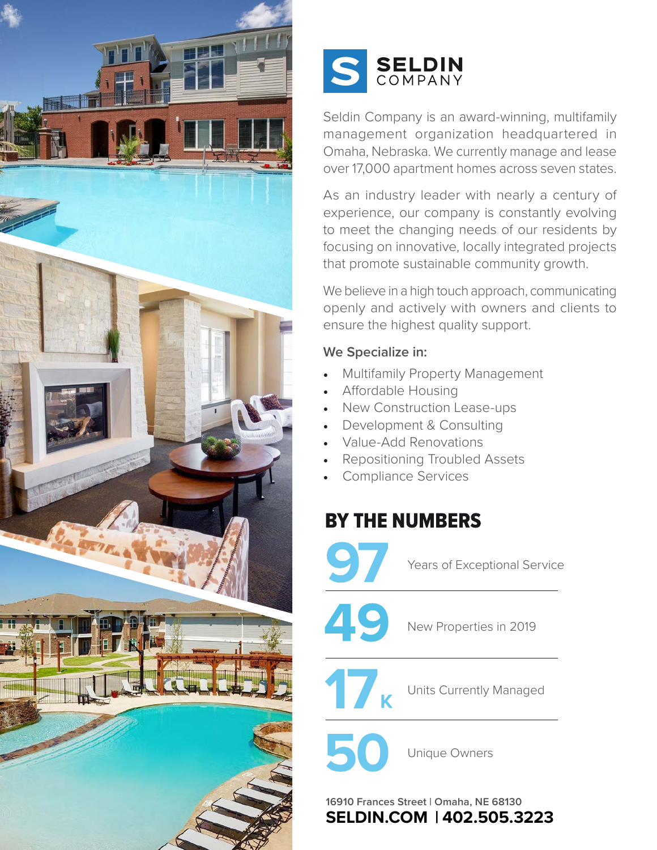



Seldin Company is an award-winning, multifamily management organization headquartered in Omaha, Nebraska. We currently manage and lease over 17,000 apartment homes across seven states.

As an industry leader with nearly a century of experience, our company is constantly evolving to meet the changing needs of our residents by focusing on innovative, locally integrated projects that promote sustainable community growth.

We believe in a high touch approach, communicating openly and actively with owners and clients to ensure the highest quality support.

### **We Specialize in:**

- Multifamily Property Management
- Affordable Housing
- New Construction Lease-ups
- Development & Consulting
- Value-Add Renovations
- Repositioning Troubled Assets
- Compliance Services

# **BY THE NUMBERS**



Years of Exceptional Service

 $17<sub>k</sub>$ 

New Properties in 2019

Units Currently Managed

Unique Owners

**16910 Frances Street | Omaha, NE 68130 SELDIN.COM | 402.505.3223**